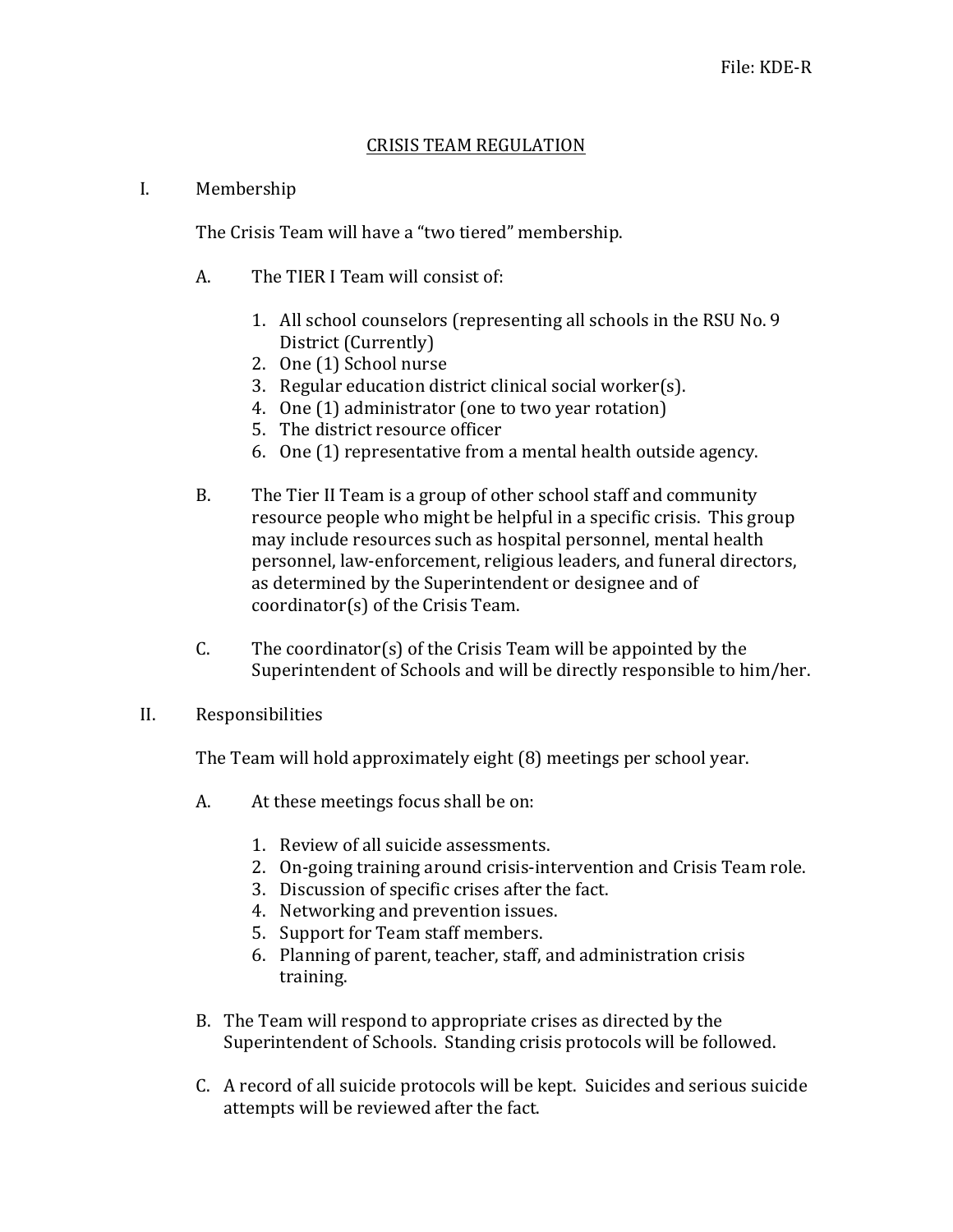## CRISIS TEAM REGULATION

## I. Membership

The Crisis Team will have a "two tiered" membership.

- A. The TIER I Team will consist of:
	- 1. All school counselors (representing all schools in the RSU No. 9) District (Currently)
	- 2. One (1) School nurse
	- 3. Regular education district clinical social worker(s).
	- 4. One (1) administrator (one to two year rotation)
	- 5. The district resource officer
	- 6. One  $(1)$  representative from a mental health outside agency.
- B. The Tier II Team is a group of other school staff and community resource people who might be helpful in a specific crisis. This group may include resources such as hospital personnel, mental health personnel, law-enforcement, religious leaders, and funeral directors, as determined by the Superintendent or designee and of  $coordinator(s)$  of the Crisis Team.
- C. The coordinator(s) of the Crisis Team will be appointed by the Superintendent of Schools and will be directly responsible to him/her.
- II. Responsibilities

The Team will hold approximately eight (8) meetings per school year.

- A. At these meetings focus shall be on:
	- 1. Review of all suicide assessments.
	- 2. On-going training around crisis-intervention and Crisis Team role.
	- 3. Discussion of specific crises after the fact.
	- 4. Networking and prevention issues.
	- 5. Support for Team staff members.
	- 6. Planning of parent, teacher, staff, and administration crisis training.
- B. The Team will respond to appropriate crises as directed by the Superintendent of Schools. Standing crisis protocols will be followed.
- C. A record of all suicide protocols will be kept. Suicides and serious suicide attempts will be reviewed after the fact.